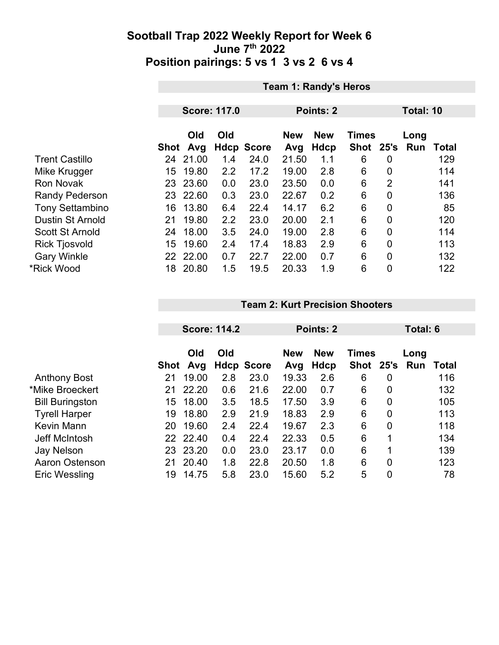|                         |      | <b>Team 1: Randy's Heros</b> |                     |                   |                   |                    |                           |                |             |       |  |
|-------------------------|------|------------------------------|---------------------|-------------------|-------------------|--------------------|---------------------------|----------------|-------------|-------|--|
|                         |      |                              |                     |                   |                   |                    |                           |                |             |       |  |
|                         |      |                              | <b>Score: 117.0</b> |                   | Points: 2         |                    |                           |                | Total: 10   |       |  |
|                         | Shot | Old<br>Avg                   | Old                 | <b>Hdcp Score</b> | <b>New</b><br>Avg | <b>New</b><br>Hdcp | <b>Times</b><br>Shot 25's |                | Long<br>Run | Total |  |
| <b>Trent Castillo</b>   | 24   | 21.00                        | 1.4                 | 24.0              | 21.50             | 1.1                | 6                         | 0              |             | 129   |  |
| Mike Krugger            | 15   | 19.80                        | 2.2                 | 17.2              | 19.00             | 2.8                | 6                         | 0              |             | 114   |  |
| <b>Ron Novak</b>        | 23.  | 23.60                        | 0.0                 | 23.0              | 23.50             | 0.0                | 6                         | $\overline{2}$ |             | 141   |  |
| <b>Randy Pederson</b>   |      | 23 22.60                     | 0.3                 | 23.0              | 22.67             | 0.2                | 6                         | $\mathbf 0$    |             | 136   |  |
| <b>Tony Settambino</b>  | 16   | 13.80                        | 6.4                 | 22.4              | 14.17             | 6.2                | 6                         | $\overline{0}$ |             | 85    |  |
| <b>Dustin St Arnold</b> | 21   | 19.80                        | 2.2                 | 23.0              | 20.00             | 2.1                | 6                         | 0              |             | 120   |  |
| <b>Scott St Arnold</b>  | 24   | 18.00                        | 3.5                 | 24.0              | 19.00             | 2.8                | 6                         | 0              |             | 114   |  |
| <b>Rick Tjosvold</b>    | 15   | 19.60                        | 2.4                 | 17.4              | 18.83             | 2.9                | 6                         | $\overline{0}$ |             | 113   |  |
| <b>Gary Winkle</b>      |      | 22 22.00                     | 0.7                 | 22.7              | 22.00             | 0.7                | 6                         | $\mathbf 0$    |             | 132   |  |
| *Rick Wood              | 18   | 20.80                        | 1.5                 | 19.5              | 20.33             | 1.9                | 6                         | $\overline{0}$ |             | 122   |  |

#### **Team 2: Kurt Precision Shooters**

|                        |      | <b>Score: 114.2</b> |     |                   | Points: 2         |                    |                           | Total: 6 |             |              |
|------------------------|------|---------------------|-----|-------------------|-------------------|--------------------|---------------------------|----------|-------------|--------------|
|                        | Shot | Old<br>Avg          | Old | <b>Hdcp Score</b> | <b>New</b><br>Avg | <b>New</b><br>Hdcp | <b>Times</b><br>Shot 25's |          | Long<br>Run | <b>Total</b> |
| <b>Anthony Bost</b>    | 21   | 19.00               | 2.8 | 23.0              | 19.33             | 2.6                | 6                         | 0        |             | 116          |
| *Mike Broeckert        | 21   | 22.20               | 0.6 | 21.6              | 22.00             | 0.7                | 6                         | 0        |             | 132          |
| <b>Bill Buringston</b> | 15   | 18.00               | 3.5 | 18.5              | 17.50             | 3.9                | 6                         | 0        |             | 105          |
| <b>Tyrell Harper</b>   | 19   | 18.80               | 2.9 | 21.9              | 18.83             | 2.9                | 6                         | 0        |             | 113          |
| Kevin Mann             | 20   | 19.60               | 2.4 | 22.4              | 19.67             | 2.3                | 6                         | 0        |             | 118          |
| Jeff McIntosh          | 22   | 22.40               | 0.4 | 22.4              | 22.33             | 0.5                | 6                         | 1        |             | 134          |
| Jay Nelson             | 23   | 23.20               | 0.0 | 23.0              | 23.17             | 0.0                | 6                         | 1        |             | 139          |
| <b>Aaron Ostenson</b>  | 21   | 20.40               | 1.8 | 22.8              | 20.50             | 1.8                | 6                         | 0        |             | 123          |
| <b>Eric Wessling</b>   | 19   | 14.75               | 5.8 | 23.0              | 15.60             | 5.2                | 5                         | 0        |             | 78           |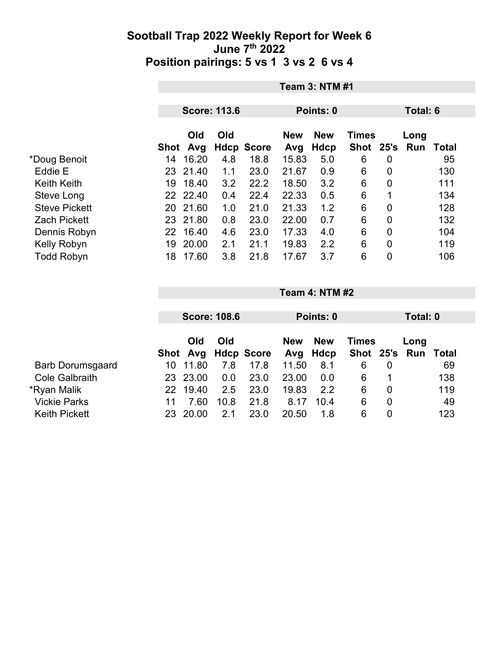|                      |      | <b>Team 3: NTM #1</b> |                     |                   |                   |                           |                             |      |             |       |
|----------------------|------|-----------------------|---------------------|-------------------|-------------------|---------------------------|-----------------------------|------|-------------|-------|
|                      |      |                       | <b>Score: 113.6</b> |                   | Points: 0         |                           |                             |      | Total: 6    |       |
|                      | Shot | Old<br>Avg            | Old                 | <b>Hdcp Score</b> | <b>New</b><br>Avg | <b>New</b><br><b>Hdcp</b> | <b>Times</b><br><b>Shot</b> | 25's | Long<br>Run | Total |
| *Doug Benoit         | 14   | 16.20                 | 4.8                 | 18.8              | 15.83             | 5.0                       | 6                           | 0    |             | 95    |
| Eddie E              | 23   | 21.40                 | 1.1                 | 23.0              | 21.67             | 0.9                       | 6                           | 0    |             | 130   |
| <b>Keith Keith</b>   | 19   | 18.40                 | 3.2                 | 22.2              | 18.50             | 3.2                       | 6                           | 0    |             | 111   |
| Steve Long           |      | 22 22.40              | 0.4                 | 22.4              | 22.33             | 0.5                       | 6                           | 1    |             | 134   |
| <b>Steve Pickett</b> | 20   | 21.60                 | 1.0                 | 21.0              | 21.33             | 1.2                       | 6                           | 0    |             | 128   |
| <b>Zach Pickett</b>  | 23   | 21.80                 | 0.8                 | 23.0              | 22.00             | 0.7                       | 6                           | 0    |             | 132   |
| Dennis Robyn         | 22   | 16.40                 | 4.6                 | 23.0              | 17.33             | 4.0                       | 6                           | 0    |             | 104   |
| Kelly Robyn          | 19   | 20.00                 | 2.1                 | 21.1              | 19.83             | 2.2                       | 6                           | 0    |             | 119   |
| <b>Todd Robyn</b>    | 18   | 17.60                 | 3.8                 | 21.8              | 17.67             | 3.7                       | 6                           | 0    |             | 106   |

|                         |     | <b>Score: 108.6</b> |      |                     | Points: 0  |            |               |                | Total: 0 |       |  |
|-------------------------|-----|---------------------|------|---------------------|------------|------------|---------------|----------------|----------|-------|--|
|                         |     |                     |      |                     |            |            |               |                |          |       |  |
|                         |     | Old                 | Old  |                     | <b>New</b> | <b>New</b> | <b>Times</b>  |                | Long     |       |  |
|                         |     |                     |      | Shot Avg Hdcp Score | Avg        | Hdcp       | Shot 25's Run |                |          | Total |  |
| <b>Barb Dorumsgaard</b> | 10  | 11.80               | 7.8  | 17.8                | 11.50      | 8.1        | 6             | 0              |          | 69    |  |
| <b>Cole Galbraith</b>   |     | 23 23.00            | 0.0  | 23.0                | 23.00      | 0.0        | 6             |                |          | 138   |  |
| *Ryan Malik             | 22. | 19.40               | 2.5  | 23.0                | 19.83      | 2.2        | 6             | 0              |          | 119   |  |
| <b>Vickie Parks</b>     | 11  | 7.60                | 10.8 | 21.8                | 8.17       | 10.4       | 6             | $\overline{0}$ |          | 49    |  |
| <b>Keith Pickett</b>    | 23  | 20.00               | 2.1  | 23.0                | 20.50      | 1.8        | 6             | 0              |          | 123   |  |

**Team 4: NTM #2**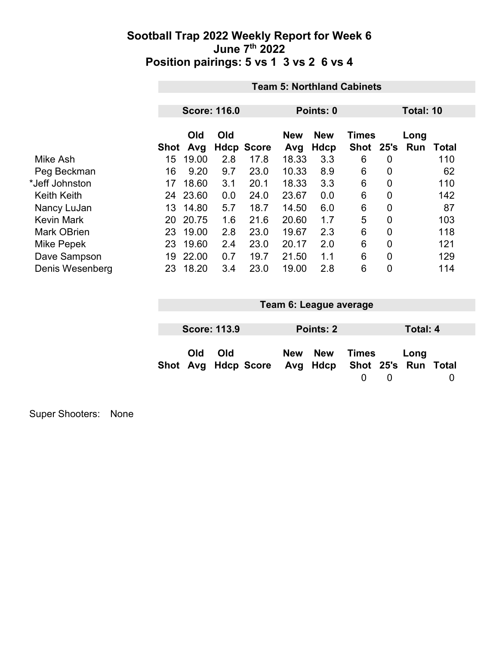|                    |      | <b>Team 5: Northland Cabinets</b> |             |              |                   |                    |                      |                |             |              |  |
|--------------------|------|-----------------------------------|-------------|--------------|-------------------|--------------------|----------------------|----------------|-------------|--------------|--|
|                    |      |                                   |             |              |                   |                    |                      |                |             |              |  |
|                    |      | <b>Score: 116.0</b>               |             |              |                   | Points: 0          |                      |                | Total: 10   |              |  |
|                    | Shot | Old<br>Avg                        | Old<br>Hdcp | <b>Score</b> | <b>New</b><br>Avg | <b>New</b><br>Hdcp | <b>Times</b><br>Shot | 25's           | Long<br>Run | <b>Total</b> |  |
| Mike Ash           | 15   | 19.00                             | 2.8         | 17.8         | 18.33             | 3.3                | 6                    | 0              |             | 110          |  |
| Peg Beckman        | 16   | 9.20                              | 9.7         | 23.0         | 10.33             | 8.9                | 6                    | 0              |             | 62           |  |
| *Jeff Johnston     | 17   | 18.60                             | 3.1         | 20.1         | 18.33             | 3.3                | 6                    | $\overline{0}$ |             | 110          |  |
| <b>Keith Keith</b> | 24   | 23.60                             | 0.0         | 24.0         | 23.67             | 0.0                | 6                    | 0              |             | 142          |  |
| Nancy LuJan        | 13   | 14.80                             | 5.7         | 18.7         | 14.50             | 6.0                | 6                    | $\overline{0}$ |             | 87           |  |
| <b>Kevin Mark</b>  | 20   | 20.75                             | 1.6         | 21.6         | 20.60             | 1.7                | 5                    | $\overline{0}$ |             | 103          |  |
| <b>Mark OBrien</b> | 23   | 19.00                             | 2.8         | 23.0         | 19.67             | 2.3                | 6                    | 0              |             | 118          |  |
| Mike Pepek         | 23   | 19.60                             | 2.4         | 23.0         | 20.17             | 2.0                | 6                    | 0              |             | 121          |  |
| Dave Sampson       | 19   | 22.00                             | 0.7         | 19.7         | 21.50             | 1.1                | 6                    | $\overline{0}$ |             | 129          |  |
| Denis Wesenberg    | 23   | 18.20                             | 3.4         | 23.0         | 19.00             | 2.8                | 6                    | $\overline{0}$ |             | 114          |  |

| Team 6: League average |                     |                                                  |  |           |       |  |          |  |
|------------------------|---------------------|--------------------------------------------------|--|-----------|-------|--|----------|--|
|                        |                     |                                                  |  |           |       |  |          |  |
|                        | <b>Score: 113.9</b> |                                                  |  | Points: 2 |       |  | Total: 4 |  |
| <b>Old</b>             | Old                 | Shot Avg Hdcp Score Avg Hdcp Shot 25's Run Total |  | New New   | Times |  | Long     |  |

Super Shooters: None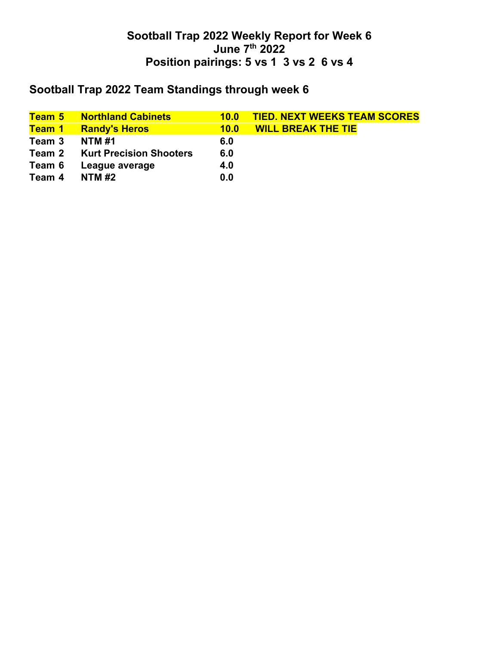## **Sootball Trap 2022 Team Standings through week 6**

|        | <b>Team 5 Northland Cabinets</b> | 10.0 | <b>TIED. NEXT WEEKS TEAM SCORES</b> |
|--------|----------------------------------|------|-------------------------------------|
| Team 1 | <b>Randy's Heros</b>             | 10.0 | <b>WILL BREAK THE TIE</b>           |
| Team 3 | <b>NTM #1</b>                    | 6.0  |                                     |
| Team 2 | <b>Kurt Precision Shooters</b>   | 6.0  |                                     |
| Team 6 | League average                   | 4.0  |                                     |
| Team 4 | <b>NTM #2</b>                    | 0.0  |                                     |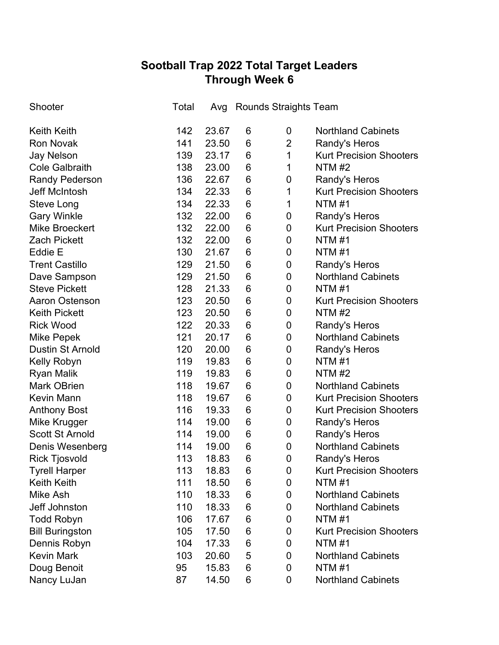# **Sootball Trap 2022 Total Target Leaders Through Week 6**

| Shooter                 | Total | Avg   |                 | Rounds Straights Team |                                |
|-------------------------|-------|-------|-----------------|-----------------------|--------------------------------|
| <b>Keith Keith</b>      | 142   | 23.67 | 6               | 0                     | <b>Northland Cabinets</b>      |
| <b>Ron Novak</b>        | 141   | 23.50 | 6               | $\overline{2}$        | Randy's Heros                  |
| <b>Jay Nelson</b>       | 139   | 23.17 | 6               | 1                     | <b>Kurt Precision Shooters</b> |
| <b>Cole Galbraith</b>   | 138   | 23.00 | 6               | 1                     | <b>NTM #2</b>                  |
| <b>Randy Pederson</b>   | 136   | 22.67 | 6               | 0                     | Randy's Heros                  |
| <b>Jeff McIntosh</b>    | 134   | 22.33 | 6               | 1                     | <b>Kurt Precision Shooters</b> |
| Steve Long              | 134   | 22.33 | 6               | 1                     | <b>NTM#1</b>                   |
| <b>Gary Winkle</b>      | 132   | 22.00 | 6               | $\boldsymbol{0}$      | Randy's Heros                  |
| <b>Mike Broeckert</b>   | 132   | 22.00 | 6               | $\boldsymbol{0}$      | <b>Kurt Precision Shooters</b> |
| <b>Zach Pickett</b>     | 132   | 22.00 | $6\phantom{1}6$ | $\pmb{0}$             | <b>NTM#1</b>                   |
| Eddie E                 | 130   | 21.67 | 6               | 0                     | <b>NTM#1</b>                   |
| <b>Trent Castillo</b>   | 129   | 21.50 | 6               | 0                     | Randy's Heros                  |
| Dave Sampson            | 129   | 21.50 | 6               | 0                     | <b>Northland Cabinets</b>      |
| <b>Steve Pickett</b>    | 128   | 21.33 | 6               | $\pmb{0}$             | <b>NTM#1</b>                   |
| <b>Aaron Ostenson</b>   | 123   | 20.50 | 6               | 0                     | <b>Kurt Precision Shooters</b> |
| <b>Keith Pickett</b>    | 123   | 20.50 | 6               | 0                     | <b>NTM#2</b>                   |
| <b>Rick Wood</b>        | 122   | 20.33 | 6               | 0                     | Randy's Heros                  |
| Mike Pepek              | 121   | 20.17 | 6               | 0                     | <b>Northland Cabinets</b>      |
| <b>Dustin St Arnold</b> | 120   | 20.00 | 6               | 0                     | Randy's Heros                  |
| Kelly Robyn             | 119   | 19.83 | 6               | 0                     | <b>NTM#1</b>                   |
| <b>Ryan Malik</b>       | 119   | 19.83 | 6               | $\pmb{0}$             | <b>NTM #2</b>                  |
| <b>Mark OBrien</b>      | 118   | 19.67 | 6               | 0                     | <b>Northland Cabinets</b>      |
| <b>Kevin Mann</b>       | 118   | 19.67 | 6               | $\pmb{0}$             | <b>Kurt Precision Shooters</b> |
| <b>Anthony Bost</b>     | 116   | 19.33 | 6               | $\mathbf 0$           | <b>Kurt Precision Shooters</b> |
| Mike Krugger            | 114   | 19.00 | 6               | $\mathbf 0$           | Randy's Heros                  |
| <b>Scott St Arnold</b>  | 114   | 19.00 | 6               | $\pmb{0}$             | Randy's Heros                  |
| Denis Wesenberg         | 114   | 19.00 | 6               | $\mathbf 0$           | <b>Northland Cabinets</b>      |
| <b>Rick Tjosvold</b>    | 113   | 18.83 | 6               | 0                     | Randy's Heros                  |
| <b>Tyrell Harper</b>    | 113   | 18.83 | 6               | 0                     | <b>Kurt Precision Shooters</b> |
| <b>Keith Keith</b>      | 111   | 18.50 | 6               | 0                     | <b>NTM#1</b>                   |
| Mike Ash                | 110   | 18.33 | 6               | 0                     | <b>Northland Cabinets</b>      |
| Jeff Johnston           | 110   | 18.33 | 6               | 0                     | <b>Northland Cabinets</b>      |
| <b>Todd Robyn</b>       | 106   | 17.67 | 6               | 0                     | <b>NTM#1</b>                   |
| <b>Bill Buringston</b>  | 105   | 17.50 | 6               | 0                     | <b>Kurt Precision Shooters</b> |
| Dennis Robyn            | 104   | 17.33 | 6               | 0                     | <b>NTM#1</b>                   |
| <b>Kevin Mark</b>       | 103   | 20.60 | 5               | 0                     | <b>Northland Cabinets</b>      |
| Doug Benoit             | 95    | 15.83 | 6               | 0                     | <b>NTM#1</b>                   |
| Nancy LuJan             | 87    | 14.50 | 6               | 0                     | <b>Northland Cabinets</b>      |